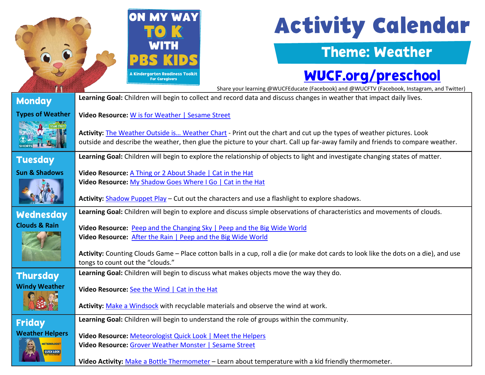

# **Activity Calendar**

#### Theme: Weather

## [WUCF.org/preschool](https://www.wucf.org/community/family/wucf-on-my-way-to-k/)

 Share your learning @WUCFEducate (Facebook) and @WUCFTV (Facebook, Instagram, and Twitter) **Learning Goal:** Children will begin to collect and record data and discuss changes in weather that impact daily lives. **Monday Types of Weather Video Resource:** [W is for Weather | Sesame Street](https://www.youtube.com/watch?v=2zLbYvUo4Kc) SESAME STREET **Activity:** [The Weather Outside is… Weather Chart](https://d43fweuh3sg51.cloudfront.net/media/media_files/63004b4e-cf48-461e-88e3-81b900da024b/c8683256-617f-4663-840e-0d0fc3f62b5f.pdf) - Print out the chart and cut up the types of weather pictures. Look outside and describe the weather, then glue the picture to your chart. Call up far-away family and friends to compare weather. **Learning Goal:** Children will begin to explore the relationship of objects to light and investigate changing states of matter. **Tuesday Sun & Shadows Video Resource:** [A Thing or 2 About Shade](https://florida.pbslearningmedia.org/resource/a-thing-or-2-making-shade/the-cat-in-the-hat-knows-a-lot-about-that/) | Cat in the Hat **Video Resource:** [My Shadow Goes Where I Go | Cat in the Hat](https://florida.pbslearningmedia.org/resource/my-shadow-goes-where-i-go/the-cat-in-the-hat-knows-a-lot-about-that/) **Activity:** [Shadow Puppet Play](https://florida.pbslearningmedia.org/resource/stick-puppet-shadow-play-cat-in-the-hat/activity/) – Cut out the characters and use a flashlight to explore shadows. **Learning Goal:** Children will begin to explore and discuss simple observations of characteristics and movements of clouds. Wednesday **Clouds & Rain Video Resource:** [Peep and the Changing Sky | Peep and the Big Wide World](https://florida.pbslearningmedia.org/resource/buac17-k2-sci-ess-peepfactors/peep-and-the-big-wide-world-weather-factors/) **Video Resource:** [After the Rain | Peep and the Big Wide World](https://florida.pbslearningmedia.org/resource/buac17-k2-sci-ess-afterrain/peep-and-the-big-wide-world-after-the-rain/)  **Activity:** Counting Clouds Game – Place cotton balls in a cup, roll a die (or make dot cards to look like the dots on a die), and use tongs to count out the "clouds." **Learning Goal:** Children will begin to discuss what makes objects move the way they do. **Thursday Windy Weather Video Resource:** [See the Wind | Cat in the Hat](https://florida.pbslearningmedia.org/resource/do-try-at-home-see-wind/the-cat-in-the-hat-knows-a-lot-about-that/) **Activity:** [Make a Windsock](https://www.pbs.org/parents/crafts-and-experiments/observe-wind-with-a-diy-windsock) with recyclable materials and observe the wind at work. **Learning Goal:** Children will begin to understand the role of groups within the community. Friday **Weather Helpers Video Resource:** [Meteorologist Quick Look | Meet the Helpers](https://florida.pbslearningmedia.org/resource/meet-the-helpers-meteorologists-helpers-quick-look/meet-the-helpers-meteorologists-helpers-quick-look/) **ETEOROLOGIST Video Resource:** [Grover Weather Monster | Sesame Street](https://www.sesamestreet.org/family/HowstheWeather)

**Video Activity:** [Make a Bottle Thermometer](https://florida.pbslearningmedia.org/resource/make-bottle-thermometer-odd-squad/science-crafts-for-kids/) – Learn about temperature with a kid friendly thermometer.